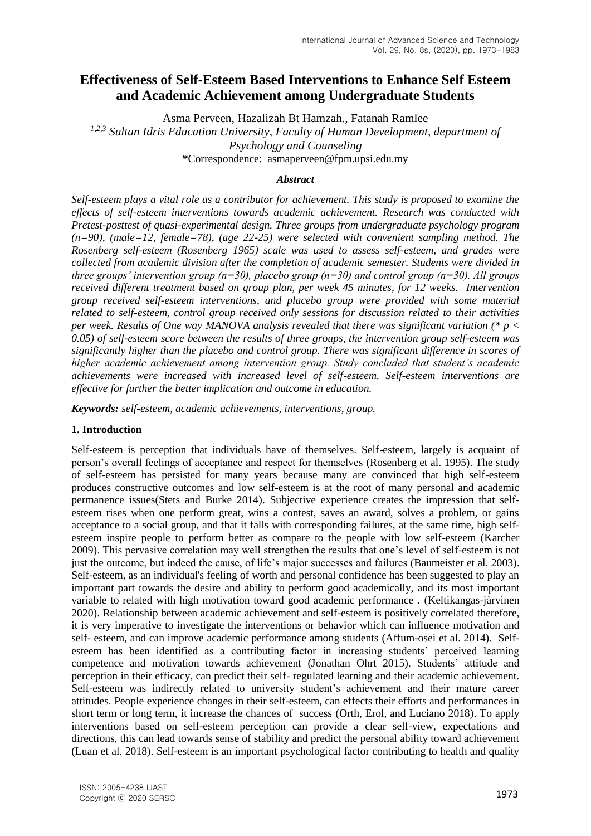# **Effectiveness of Self-Esteem Based Interventions to Enhance Self Esteem and Academic Achievement among Undergraduate Students**

Asma Perveen, Hazalizah Bt Hamzah., Fatanah Ramlee

*1,2,3 Sultan Idris Education University, Faculty of Human Development, department of Psychology and Counseling* **\***Correspondence: [asmaperveen@fpm.upsi.edu.my](mailto:asmaperveen@fpm.upsi.edu.my)

# *Abstract*

*Self-esteem plays a vital role as a contributor for achievement. This study is proposed to examine the effects of self-esteem interventions towards academic achievement. Research was conducted with Pretest-posttest of quasi-experimental design. Three groups from undergraduate psychology program (n=90), (male=12, female=78), (age 22-25) were selected with convenient sampling method. The Rosenberg self-esteem (Rosenberg 1965) scale was used to assess self-esteem, and grades were collected from academic division after the completion of academic semester. Students were divided in three groups' intervention group (n=30), placebo group (n=30) and control group (n=30). All groups received different treatment based on group plan, per week 45 minutes, for 12 weeks. Intervention group received self-esteem interventions, and placebo group were provided with some material related to self-esteem, control group received only sessions for discussion related to their activities per week. Results of One way MANOVA analysis revealed that there was significant variation (\* p < 0.05) of self-esteem score between the results of three groups, the intervention group self-esteem was significantly higher than the placebo and control group. There was significant difference in scores of higher academic achievement among intervention group. Study concluded that student's academic achievements were increased with increased level of self-esteem. Self-esteem interventions are effective for further the better implication and outcome in education.*

*Keywords: self-esteem, academic achievements, interventions, group.*

# **1. Introduction**

Self-esteem is perception that individuals have of themselves. Self-esteem, largely is acquaint of person's overall feelings of acceptance and respect for themselves (Rosenberg et al. 1995). The study of self-esteem has persisted for many years because many are convinced that high self-esteem produces constructive outcomes and low self-esteem is at the root of many personal and academic permanence issues(Stets and Burke 2014). Subjective experience creates the impression that selfesteem rises when one perform great, wins a contest, saves an award, solves a problem, or gains acceptance to a social group, and that it falls with corresponding failures, at the same time, high selfesteem inspire people to perform better as compare to the people with low self-esteem (Karcher 2009). This pervasive correlation may well strengthen the results that one's level of self-esteem is not just the outcome, but indeed the cause, of life's major successes and failures (Baumeister et al. 2003). Self-esteem, as an individual's feeling of worth and personal confidence has been suggested to play an important part towards the desire and ability to perform good academically, and its most important variable to related with high motivation toward good academic performance . (Keltikangas-jàrvinen 2020). Relationship between academic achievement and self-esteem is positively correlated therefore, it is very imperative to investigate the interventions or behavior which can influence motivation and self- esteem, and can improve academic performance among students (Affum-osei et al. 2014). Selfesteem has been identified as a contributing factor in increasing students' perceived learning competence and motivation towards achievement (Jonathan Ohrt 2015). Students' attitude and perception in their efficacy, can predict their self- regulated learning and their academic achievement. Self-esteem was indirectly related to university student's achievement and their mature career attitudes. People experience changes in their self-esteem, can effects their efforts and performances in short term or long term, it increase the chances of success (Orth, Erol, and Luciano 2018). To apply interventions based on self-esteem perception can provide a clear self-view, expectations and directions, this can lead towards sense of stability and predict the personal ability toward achievement (Luan et al. 2018). Self-esteem is an important psychological factor contributing to health and quality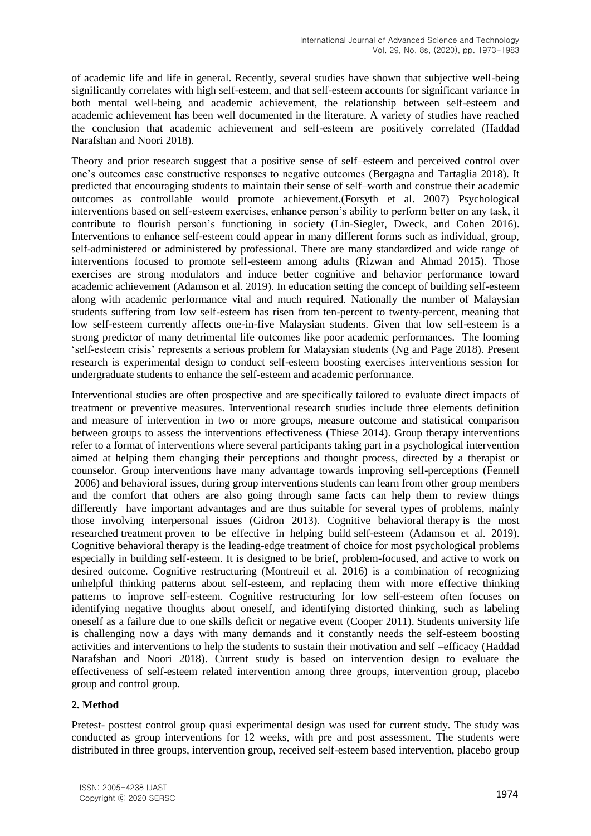of academic life and life in general. Recently, several studies have shown that subjective well-being significantly correlates with high self-esteem, and that self-esteem accounts for significant variance in both mental well-being and academic achievement, the relationship between self-esteem and academic achievement has been well documented in the literature. A variety of studies have reached the conclusion that academic achievement and self-esteem are positively correlated (Haddad Narafshan and Noori 2018).

Theory and prior research suggest that a positive sense of self–esteem and perceived control over one's outcomes ease constructive responses to negative outcomes (Bergagna and Tartaglia 2018). It predicted that encouraging students to maintain their sense of self–worth and construe their academic outcomes as controllable would promote achievement.(Forsyth et al. 2007) Psychological interventions based on self-esteem exercises, enhance person's ability to perform better on any task, it contribute to flourish person's functioning in society (Lin-Siegler, Dweck, and Cohen 2016). Interventions to enhance self-esteem could appear in many different forms such as individual, group, self-administered or administered by professional. There are many standardized and wide range of interventions focused to promote self-esteem among adults (Rizwan and Ahmad 2015). Those exercises are strong modulators and induce better cognitive and behavior performance toward academic achievement (Adamson et al. 2019). In education setting the concept of building self-esteem along with academic performance vital and much required. Nationally the number of Malaysian students suffering from low self-esteem has risen from ten-percent to twenty-percent, meaning that low self-esteem currently affects one-in-five Malaysian students. Given that low self-esteem is a strong predictor of many detrimental life outcomes like poor academic performances. The looming 'self-esteem crisis' represents a serious problem for Malaysian students (Ng and Page 2018). Present research is experimental design to conduct self-esteem boosting exercises interventions session for undergraduate students to enhance the self-esteem and academic performance.

Interventional studies are often prospective and are specifically tailored to evaluate direct impacts of treatment or preventive measures. Interventional research studies include three elements definition and measure of intervention in two or more groups, measure outcome and statistical comparison between groups to assess the interventions effectiveness (Thiese 2014). Group therapy interventions refer to a format of interventions where several participants taking part in a psychological intervention aimed at helping them changing their perceptions and thought process, directed by a therapist or counselor. Group interventions have many advantage towards improving self-perceptions (Fennell 2006) and behavioral issues, during group interventions students can learn from other group members and the comfort that others are also going through same facts can help them to review things differently have important advantages and are thus suitable for several types of problems, mainly those involving interpersonal issues (Gidron 2013). Cognitive behavioral therapy is the most researched treatment proven to be effective in helping build self-esteem (Adamson et al. 2019). Cognitive behavioral therapy is the leading-edge treatment of choice for most psychological problems especially in building self-esteem. It is designed to be brief, problem-focused, and active to work on desired outcome. Cognitive restructuring (Montreuil et al. 2016) is a combination of recognizing unhelpful thinking patterns about self-esteem, and replacing them with more effective thinking patterns to improve self-esteem. Cognitive restructuring for low self-esteem often focuses on identifying negative thoughts about oneself, and identifying distorted thinking, such as labeling oneself as a failure due to one skills deficit or negative event (Cooper 2011). Students university life is challenging now a days with many demands and it constantly needs the self-esteem boosting activities and interventions to help the students to sustain their motivation and self –efficacy (Haddad Narafshan and Noori 2018). Current study is based on intervention design to evaluate the effectiveness of self-esteem related intervention among three groups, intervention group, placebo group and control group.

# **2. Method**

Pretest- posttest control group quasi experimental design was used for current study. The study was conducted as group interventions for 12 weeks, with pre and post assessment. The students were distributed in three groups, intervention group, received self-esteem based intervention, placebo group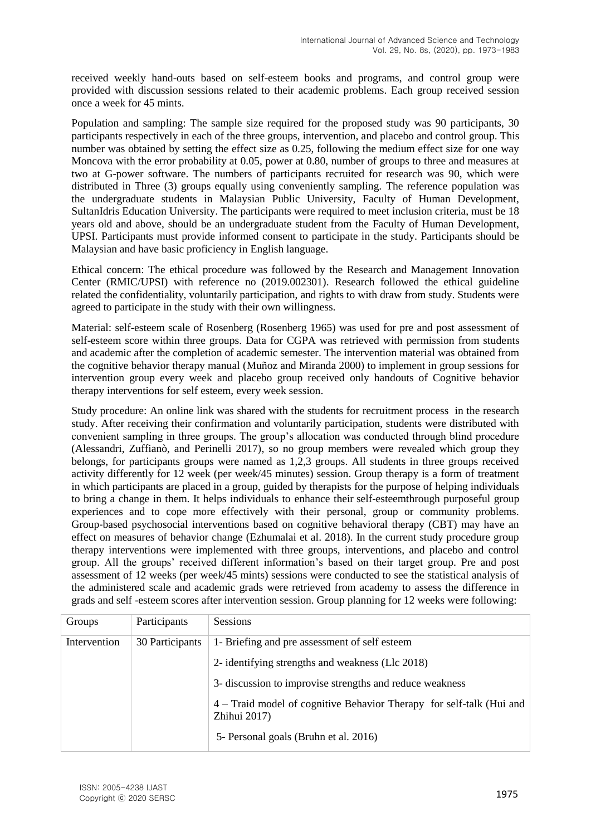received weekly hand-outs based on self-esteem books and programs, and control group were provided with discussion sessions related to their academic problems. Each group received session once a week for 45 mints.

Population and sampling: The sample size required for the proposed study was 90 participants, 30 participants respectively in each of the three groups, intervention, and placebo and control group. This number was obtained by setting the effect size as 0.25, following the medium effect size for one way Moncova with the error probability at 0.05, power at 0.80, number of groups to three and measures at two at G-power software. The numbers of participants recruited for research was 90, which were distributed in Three (3) groups equally using conveniently sampling. The reference population was the undergraduate students in Malaysian Public University, Faculty of Human Development, SultanIdris Education University. The participants were required to meet inclusion criteria, must be 18 years old and above, should be an undergraduate student from the Faculty of Human Development, UPSI. Participants must provide informed consent to participate in the study. Participants should be Malaysian and have basic proficiency in English language.

Ethical concern: The ethical procedure was followed by the Research and Management Innovation Center (RMIC/UPSI) with reference no (2019.002301). Research followed the ethical guideline related the confidentiality, voluntarily participation, and rights to with draw from study. Students were agreed to participate in the study with their own willingness.

Material: self-esteem scale of Rosenberg (Rosenberg 1965) was used for pre and post assessment of self-esteem score within three groups. Data for CGPA was retrieved with permission from students and academic after the completion of academic semester. The intervention material was obtained from the cognitive behavior therapy manual (Muñoz and Miranda 2000) to implement in group sessions for intervention group every week and placebo group received only handouts of Cognitive behavior therapy interventions for self esteem, every week session.

Study procedure: An online link was shared with the students for recruitment process in the research study. After receiving their confirmation and voluntarily participation, students were distributed with convenient sampling in three groups. The group's allocation was conducted through blind procedure (Alessandri, Zuffianò, and Perinelli 2017), so no group members were revealed which group they belongs, for participants groups were named as 1,2,3 groups. All students in three groups received activity differently for 12 week (per week/45 minutes) session. Group therapy is a form of treatment in which participants are placed in a group, guided by therapists for the purpose of helping individuals to bring a change in them. It helps individuals to enhance their self-esteemthrough purposeful group experiences and to cope more effectively with their personal, group or community problems. Group‐based psychosocial interventions based on cognitive behavioral therapy (CBT) may have an effect on measures of behavior change (Ezhumalai et al. 2018). In the current study procedure group therapy interventions were implemented with three groups, interventions, and placebo and control group. All the groups' received different information's based on their target group. Pre and post assessment of 12 weeks (per week/45 mints) sessions were conducted to see the statistical analysis of the administered scale and academic grads were retrieved from academy to assess the difference in grads and self -esteem scores after intervention session. Group planning for 12 weeks were following:

| Groups       | Participants    | <b>Sessions</b>                                                                      |
|--------------|-----------------|--------------------------------------------------------------------------------------|
| Intervention | 30 Participants | 1- Briefing and pre assessment of self esteem                                        |
|              |                 | 2- identifying strengths and weakness (Llc 2018)                                     |
|              |                 | 3- discussion to improvise strengths and reduce weakness                             |
|              |                 | 4 – Traid model of cognitive Behavior Therapy for self-talk (Hui and<br>Zhihui 2017) |
|              |                 | 5- Personal goals (Bruhn et al. 2016)                                                |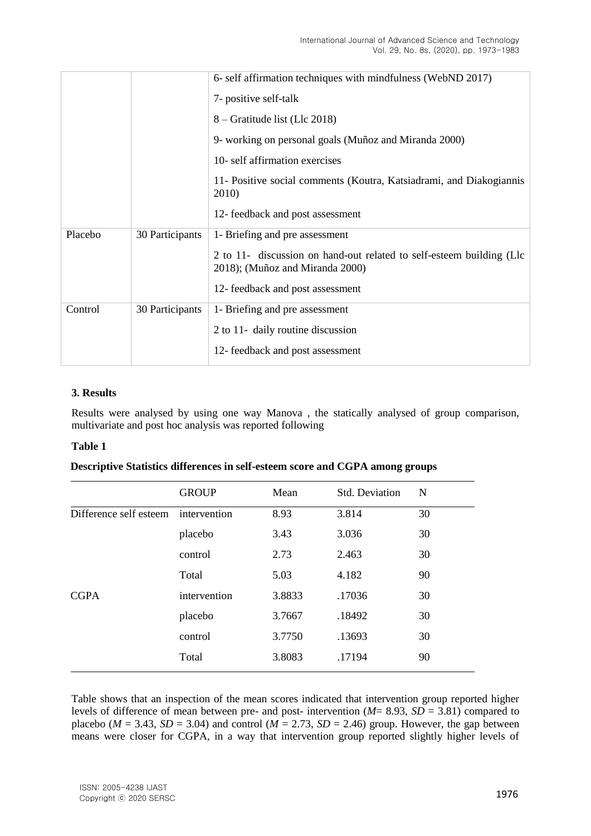|         |                 | 6- self affirmation techniques with mindfulness (WebND 2017)                                            |  |  |  |  |  |  |
|---------|-----------------|---------------------------------------------------------------------------------------------------------|--|--|--|--|--|--|
|         |                 | 7- positive self-talk                                                                                   |  |  |  |  |  |  |
|         |                 | 8 – Gratitude list (Llc 2018)                                                                           |  |  |  |  |  |  |
|         |                 | 9- working on personal goals (Muñoz and Miranda 2000)                                                   |  |  |  |  |  |  |
|         |                 | 10- self affirmation exercises                                                                          |  |  |  |  |  |  |
|         |                 | 11- Positive social comments (Koutra, Katsiadrami, and Diakogiannis<br>2010)                            |  |  |  |  |  |  |
|         |                 | 12- feedback and post assessment                                                                        |  |  |  |  |  |  |
| Placebo | 30 Participants | 1- Briefing and pre assessment                                                                          |  |  |  |  |  |  |
|         |                 | 2 to 11- discussion on hand-out related to self-esteem building (Llc<br>2018); (Muñoz and Miranda 2000) |  |  |  |  |  |  |
|         |                 | 12- feedback and post assessment                                                                        |  |  |  |  |  |  |
| Control | 30 Participants | 1- Briefing and pre assessment                                                                          |  |  |  |  |  |  |
|         |                 | 2 to 11- daily routine discussion                                                                       |  |  |  |  |  |  |
|         |                 | 12- feedback and post assessment                                                                        |  |  |  |  |  |  |

# **3. Results**

Results were analysed by using one way Manova , the statically analysed of group comparison, multivariate and post hoc analysis was reported following

# **Table 1**

# **Descriptive Statistics differences in self-esteem score and CGPA among groups**

|                                     | <b>GROUP</b> | Mean   | Std. Deviation | N  |
|-------------------------------------|--------------|--------|----------------|----|
| Difference self esteem intervention |              | 8.93   | 3.814          | 30 |
|                                     | placebo      | 3.43   | 3.036          | 30 |
|                                     | control      | 2.73   | 2.463          | 30 |
|                                     | Total        | 5.03   | 4.182          | 90 |
| <b>CGPA</b>                         | intervention | 3.8833 | .17036         | 30 |
|                                     | placebo      | 3.7667 | .18492         | 30 |
|                                     | control      | 3.7750 | .13693         | 30 |
|                                     | Total        | 3.8083 | .17194         | 90 |

Table shows that an inspection of the mean scores indicated that intervention group reported higher levels of difference of mean between pre- and post- intervention (*M*= 8.93, *SD* = 3.81) compared to placebo ( $M = 3.43$ ,  $SD = 3.04$ ) and control ( $M = 2.73$ ,  $SD = 2.46$ ) group. However, the gap between means were closer for CGPA, in a way that intervention group reported slightly higher levels of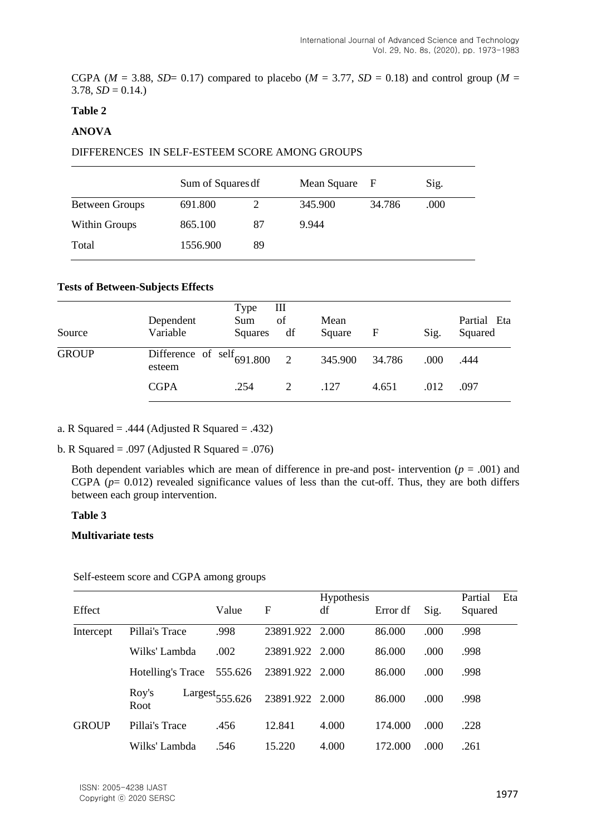CGPA ( $M = 3.88$ , *SD*= 0.17) compared to placebo ( $M = 3.77$ , *SD* = 0.18) and control group ( $M =$  $3.78, SD = 0.14.$ 

# **Table 2**

# **ANOVA**

#### DIFFERENCES IN SELF-ESTEEM SCORE AMONG GROUPS

|                | Sum of Squares df |    | Mean Square F |        | Sig. |
|----------------|-------------------|----|---------------|--------|------|
| Between Groups | 691.800           |    | 345.900       | 34.786 | .000 |
| Within Groups  | 865.100           | 87 | 9.944         |        |      |
| Total          | 1556.900          | 89 |               |        |      |

#### **Tests of Between-Subjects Effects**

| Source       | Dependent<br>Variable                           | Type<br>Sum<br>Squares | Ш<br>of<br>df | Mean<br>Square | F      | Sig. | Partial Eta<br>Squared |
|--------------|-------------------------------------------------|------------------------|---------------|----------------|--------|------|------------------------|
| <b>GROUP</b> | Difference of $\text{self}_{691.800}$<br>esteem |                        |               | 345.900        | 34.786 | .000 | .444                   |
|              | <b>CGPA</b>                                     | .254                   |               | .127           | 4.651  | .012 | .097                   |

- a. R Squared = .444 (Adjusted R Squared = .432)
- b. R Squared = .097 (Adjusted R Squared = .076)

Both dependent variables which are mean of difference in pre-and post- intervention  $(p = .001)$  and CGPA (*p*= 0.012) revealed significance values of less than the cut-off. Thus, they are both differs between each group intervention.

### **Table 3**

### **Multivariate tests**

| Self-esteem score and CGPA among groups |  |
|-----------------------------------------|--|
|                                         |  |

| Effect       |                   |                     |                 | <b>Hypothesis</b> |          |      | Eta<br>Partial |
|--------------|-------------------|---------------------|-----------------|-------------------|----------|------|----------------|
|              |                   | Value               | F               | df                | Error df | Sig. | Squared        |
| Intercept    | Pillai's Trace    | .998                | 23891.922       | 2.000             | 86.000   | .000 | .998           |
|              | Wilks' Lambda     | .002                | 23891.922 2.000 |                   | 86.000   | .000 | .998           |
|              | Hotelling's Trace | 555.626             | 23891.922 2.000 |                   | 86,000   | .000 | .998           |
|              | Roy's<br>Root     | $Largest_{555.626}$ | 23891.922 2.000 |                   | 86.000   | .000 | .998           |
| <b>GROUP</b> | Pillai's Trace    | .456                | 12.841          | 4.000             | 174,000  | .000 | .228           |
|              | Wilks' Lambda     | .546                | 15.220          | 4.000             | 172.000  | .000 | .261           |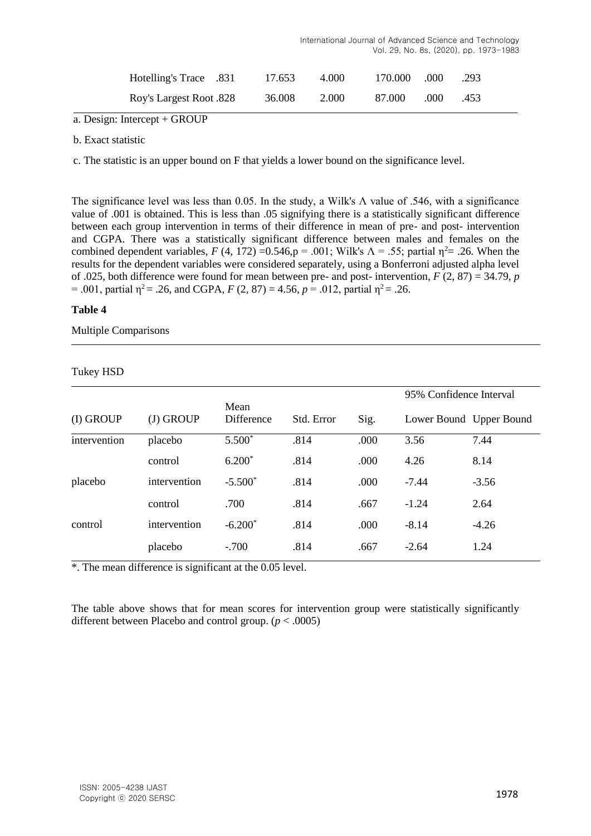|                                |        |       |         |      | Vol. 29, No. 8s, (2020), pp. 1973-1983 |
|--------------------------------|--------|-------|---------|------|----------------------------------------|
| <b>Hotelling's Trace</b> .831  | 17.653 | 4.000 | 170.000 | .000 | .293                                   |
| <b>Roy's Largest Root .828</b> | 36.008 | 2.000 | 87.000  | .000 | .453                                   |

International Journal of Advanced Science and Technology

a. Design: Intercept + GROUP

b. Exact statistic

c. The statistic is an upper bound on F that yields a lower bound on the significance level.

The significance level was less than 0.05. In the study, a Wilk's  $\Lambda$  value of .546, with a significance value of .001 is obtained. This is less than .05 signifying there is a statistically significant difference between each group intervention in terms of their difference in mean of pre- and post- intervention and CGPA. There was a statistically significant difference between males and females on the combined dependent variables,  $F(4, 172) = 0.546$ ,  $p = .001$ ; Wilk's  $\Lambda = .55$ ; partial  $\eta^2 = .26$ . When the results for the dependent variables were considered separately, using a Bonferroni adjusted alpha level of .025, both difference were found for mean between pre- and post- intervention, *F* (2, 87) = 34.79, *p*  $= .001$ , partial  $\eta^2 = .26$ , and CGPA,  $F(2, 87) = 4.56$ ,  $p = .012$ , partial  $\eta^2 = .26$ .

# **Table 4**

Multiple Comparisons

# Tukey HSD

|              |              |                    |            |      | 95% Confidence Interval |         |  |
|--------------|--------------|--------------------|------------|------|-------------------------|---------|--|
| (I) GROUP    | (J) GROUP    | Mean<br>Difference | Std. Error | Sig. | Lower Bound Upper Bound |         |  |
| intervention | placebo      | $5.500*$           | .814       | .000 | 3.56                    | 7.44    |  |
|              | control      | $6.200*$           | .814       | .000 | 4.26                    | 8.14    |  |
| placebo      | intervention | $-5.500*$          | .814       | .000 | $-7.44$                 | $-3.56$ |  |
|              | control      | .700               | .814       | .667 | $-1.24$                 | 2.64    |  |
| control      | intervention | $-6.200*$          | .814       | .000 | $-8.14$                 | $-4.26$ |  |
|              | placebo      | $-.700$            | .814       | .667 | $-2.64$                 | 1.24    |  |

\*. The mean difference is significant at the 0.05 level.

The table above shows that for mean scores for intervention group were statistically significantly different between Placebo and control group. (*p* < .0005)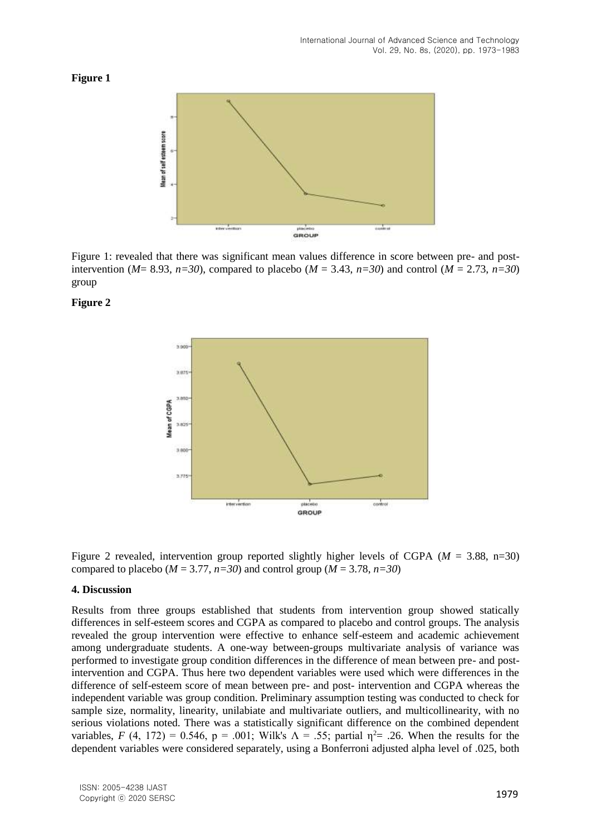# **Figure 1**



Figure 1: revealed that there was significant mean values difference in score between pre- and postintervention ( $M=8.93$ ,  $n=30$ ), compared to placebo ( $M=3.43$ ,  $n=30$ ) and control ( $M=2.73$ ,  $n=30$ ) group

### **Figure 2**



Figure 2 revealed, intervention group reported slightly higher levels of CGPA (*M* = 3.88, n=30) compared to placebo ( $M = 3.77$ ,  $n=30$ ) and control group ( $M = 3.78$ ,  $n=30$ )

#### **4. Discussion**

Results from three groups established that students from intervention group showed statically differences in self-esteem scores and CGPA as compared to placebo and control groups. The analysis revealed the group intervention were effective to enhance self-esteem and academic achievement among undergraduate students. A one-way between-groups multivariate analysis of variance was performed to investigate group condition differences in the difference of mean between pre- and postintervention and CGPA. Thus here two dependent variables were used which were differences in the difference of self-esteem score of mean between pre- and post- intervention and CGPA whereas the independent variable was group condition. Preliminary assumption testing was conducted to check for sample size, normality, linearity, unilabiate and multivariate outliers, and multicollinearity, with no serious violations noted. There was a statistically significant difference on the combined dependent variables, *F* (4, 172) = 0.546, p = .001; Wilk's  $\Lambda$  = .55; partial  $\eta^2$  = .26. When the results for the dependent variables were considered separately, using a Bonferroni adjusted alpha level of .025, both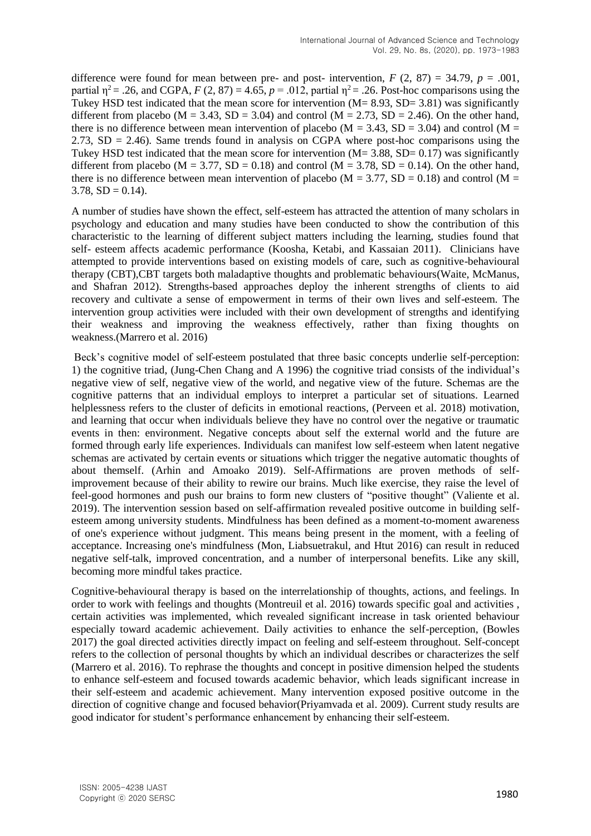difference were found for mean between pre- and post- intervention,  $F(2, 87) = 34.79$ ,  $p = .001$ , partial  $\eta^2$  = .26, and CGPA, *F* (2, 87) = 4.65, *p* = .012, partial  $\eta^2$  = .26. Post-hoc comparisons using the Tukey HSD test indicated that the mean score for intervention  $(M = 8.93, SD = 3.81)$  was significantly different from placebo ( $M = 3.43$ ,  $SD = 3.04$ ) and control ( $M = 2.73$ ,  $SD = 2.46$ ). On the other hand, there is no difference between mean intervention of placebo ( $M = 3.43$ , SD = 3.04) and control ( $M =$ 2.73,  $SD = 2.46$ ). Same trends found in analysis on CGPA where post-hoc comparisons using the Tukey HSD test indicated that the mean score for intervention  $(M = 3.88, SD = 0.17)$  was significantly different from placebo ( $M = 3.77$ ,  $SD = 0.18$ ) and control ( $M = 3.78$ ,  $SD = 0.14$ ). On the other hand, there is no difference between mean intervention of placebo ( $M = 3.77$ ,  $SD = 0.18$ ) and control ( $M =$  $3.78$ ,  $SD = 0.14$ ).

A number of studies have shown the effect, self-esteem has attracted the attention of many scholars in psychology and education and many studies have been conducted to show the contribution of this characteristic to the learning of different subject matters including the learning, studies found that self- esteem affects academic performance (Koosha, Ketabi, and Kassaian 2011). Clinicians have attempted to provide interventions based on existing models of care, such as cognitive-behavioural therapy (CBT),CBT targets both maladaptive thoughts and problematic behaviours(Waite, McManus, and Shafran 2012). Strengths-based approaches deploy the inherent strengths of clients to aid recovery and cultivate a sense of empowerment in terms of their own lives and self-esteem. The intervention group activities were included with their own development of strengths and identifying their weakness and improving the weakness effectively, rather than fixing thoughts on weakness.(Marrero et al. 2016)

Beck's cognitive model of self-esteem postulated that three basic concepts underlie self-perception: 1) the cognitive triad, (Jung-Chen Chang and A 1996) the cognitive triad consists of the individual's negative view of self, negative view of the world, and negative view of the future. Schemas are the cognitive patterns that an individual employs to interpret a particular set of situations. Learned helplessness refers to the cluster of deficits in emotional reactions, (Perveen et al. 2018) motivation, and learning that occur when individuals believe they have no control over the negative or traumatic events in then: environment. Negative concepts about self the external world and the future are formed through early life experiences. Individuals can manifest low self-esteem when latent negative schemas are activated by certain events or situations which trigger the negative automatic thoughts of about themself. (Arhin and Amoako 2019). Self-Affirmations are proven methods of selfimprovement because of their ability to rewire our brains. Much like exercise, they raise the level of feel-good hormones and push our brains to form new clusters of "positive thought" (Valiente et al. 2019). The intervention session based on self-affirmation revealed positive outcome in building selfesteem among university students. Mindfulness has been defined as a moment-to-moment awareness of one's experience without judgment. This means being present in the moment, with a feeling of acceptance. Increasing one's mindfulness (Mon, Liabsuetrakul, and Htut 2016) can result in reduced negative self-talk, improved concentration, and a number of interpersonal benefits. Like any skill, becoming more mindful takes practice.

Cognitive-behavioural therapy is based on the interrelationship of thoughts, actions, and feelings. In order to work with feelings and thoughts (Montreuil et al. 2016) towards specific goal and activities , certain activities was implemented, which revealed significant increase in task oriented behaviour especially toward academic achievement. Daily activities to enhance the self-perception, (Bowles 2017) the goal directed activities directly impact on feeling and self-esteem throughout. Self-concept refers to the collection of personal thoughts by which an individual describes or characterizes the self (Marrero et al. 2016). To rephrase the thoughts and concept in positive dimension helped the students to enhance self-esteem and focused towards academic behavior, which leads significant increase in their self-esteem and academic achievement. Many intervention exposed positive outcome in the direction of cognitive change and focused behavior(Priyamvada et al. 2009). Current study results are good indicator for student's performance enhancement by enhancing their self-esteem.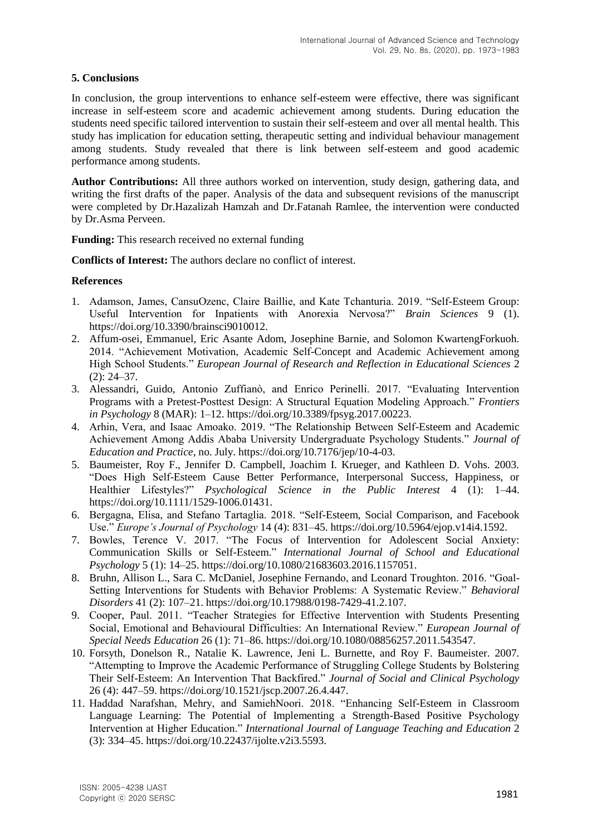# **5. Conclusions**

In conclusion, the group interventions to enhance self-esteem were effective, there was significant increase in self-esteem score and academic achievement among students. During education the students need specific tailored intervention to sustain their self-esteem and over all mental health. This study has implication for education setting, therapeutic setting and individual behaviour management among students. Study revealed that there is link between self-esteem and good academic performance among students.

**Author Contributions:** All three authors worked on intervention, study design, gathering data, and writing the first drafts of the paper. Analysis of the data and subsequent revisions of the manuscript were completed by Dr.Hazalizah Hamzah and Dr.Fatanah Ramlee, the intervention were conducted by Dr.Asma Perveen.

**Funding:** This research received no external funding

**Conflicts of Interest:** The authors declare no conflict of interest.

# **References**

- 1. Adamson, James, CansuOzenc, Claire Baillie, and Kate Tchanturia. 2019. "Self-Esteem Group: Useful Intervention for Inpatients with Anorexia Nervosa?" *Brain Sciences* 9 (1). https://doi.org/10.3390/brainsci9010012.
- 2. Affum-osei, Emmanuel, Eric Asante Adom, Josephine Barnie, and Solomon KwartengForkuoh. 2014. "Achievement Motivation, Academic Self-Concept and Academic Achievement among High School Students." *European Journal of Research and Reflection in Educational Sciences* 2 (2): 24–37.
- 3. Alessandri, Guido, Antonio Zuffianò, and Enrico Perinelli. 2017. "Evaluating Intervention Programs with a Pretest-Posttest Design: A Structural Equation Modeling Approach." *Frontiers in Psychology* 8 (MAR): 1–12. https://doi.org/10.3389/fpsyg.2017.00223.
- 4. Arhin, Vera, and Isaac Amoako. 2019. "The Relationship Between Self-Esteem and Academic Achievement Among Addis Ababa University Undergraduate Psychology Students." *Journal of Education and Practice*, no. July. https://doi.org/10.7176/jep/10-4-03.
- 5. Baumeister, Roy F., Jennifer D. Campbell, Joachim I. Krueger, and Kathleen D. Vohs. 2003. "Does High Self-Esteem Cause Better Performance, Interpersonal Success, Happiness, or Healthier Lifestyles?" *Psychological Science in the Public Interest* 4 (1): 1–44. https://doi.org/10.1111/1529-1006.01431.
- 6. Bergagna, Elisa, and Stefano Tartaglia. 2018. "Self-Esteem, Social Comparison, and Facebook Use." *Europe's Journal of Psychology* 14 (4): 831–45. https://doi.org/10.5964/ejop.v14i4.1592.
- 7. Bowles, Terence V. 2017. "The Focus of Intervention for Adolescent Social Anxiety: Communication Skills or Self-Esteem." *International Journal of School and Educational Psychology* 5 (1): 14–25. https://doi.org/10.1080/21683603.2016.1157051.
- 8. Bruhn, Allison L., Sara C. McDaniel, Josephine Fernando, and Leonard Troughton. 2016. "Goal-Setting Interventions for Students with Behavior Problems: A Systematic Review." *Behavioral Disorders* 41 (2): 107–21. https://doi.org/10.17988/0198-7429-41.2.107.
- 9. Cooper, Paul. 2011. "Teacher Strategies for Effective Intervention with Students Presenting Social, Emotional and Behavioural Difficulties: An International Review." *European Journal of Special Needs Education* 26 (1): 71–86. https://doi.org/10.1080/08856257.2011.543547.
- 10. Forsyth, Donelson R., Natalie K. Lawrence, Jeni L. Burnette, and Roy F. Baumeister. 2007. "Attempting to Improve the Academic Performance of Struggling College Students by Bolstering Their Self-Esteem: An Intervention That Backfired." *Journal of Social and Clinical Psychology* 26 (4): 447–59. https://doi.org/10.1521/jscp.2007.26.4.447.
- 11. Haddad Narafshan, Mehry, and SamiehNoori. 2018. "Enhancing Self-Esteem in Classroom Language Learning: The Potential of Implementing a Strength-Based Positive Psychology Intervention at Higher Education." *International Journal of Language Teaching and Education* 2 (3): 334–45. https://doi.org/10.22437/ijolte.v2i3.5593.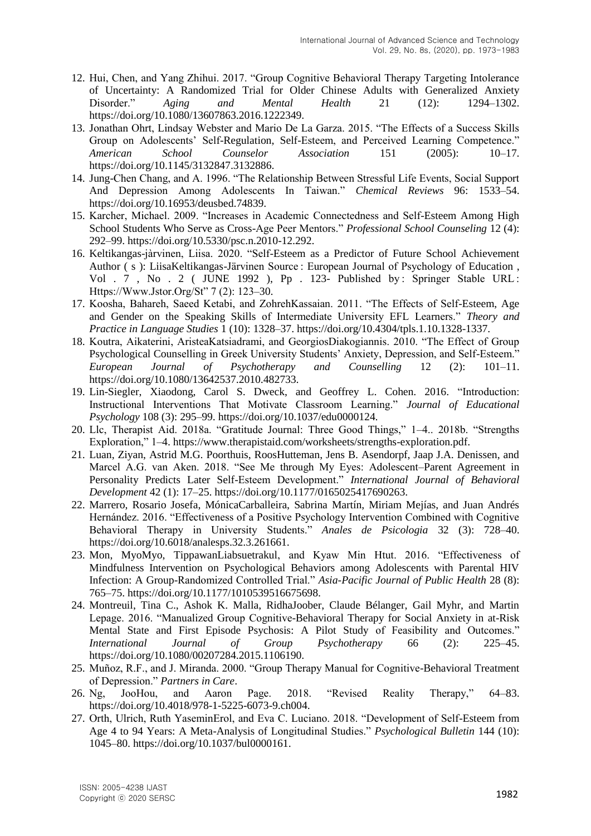- 12. Hui, Chen, and Yang Zhihui. 2017. "Group Cognitive Behavioral Therapy Targeting Intolerance of Uncertainty: A Randomized Trial for Older Chinese Adults with Generalized Anxiety Disorder." *Aging and Mental Health* 21 (12): 1294–1302. https://doi.org/10.1080/13607863.2016.1222349.
- 13. Jonathan Ohrt, Lindsay Webster and Mario De La Garza. 2015. "The Effects of a Success Skills Group on Adolescents' Self-Regulation, Self-Esteem, and Perceived Learning Competence." *American School Counselor Association* 151 (2005): 10–17. https://doi.org/10.1145/3132847.3132886.
- 14. Jung-Chen Chang, and A. 1996. "The Relationship Between Stressful Life Events, Social Support And Depression Among Adolescents In Taiwan." *Chemical Reviews* 96: 1533–54. https://doi.org/10.16953/deusbed.74839.
- 15. Karcher, Michael. 2009. "Increases in Academic Connectedness and Self-Esteem Among High School Students Who Serve as Cross-Age Peer Mentors." *Professional School Counseling* 12 (4): 292–99. https://doi.org/10.5330/psc.n.2010-12.292.
- 16. Keltikangas-jàrvinen, Liisa. 2020. "Self-Esteem as a Predictor of Future School Achievement Author ( s ): LiisaKeltikangas-Järvinen Source : European Journal of Psychology of Education , Vol . 7, No . 2 ( JUNE 1992 ), Pp . 123- Published by: Springer Stable URL : Https://Www.Jstor.Org/St" 7 (2): 123–30.
- 17. Koosha, Bahareh, Saeed Ketabi, and ZohrehKassaian. 2011. "The Effects of Self-Esteem, Age and Gender on the Speaking Skills of Intermediate University EFL Learners." *Theory and Practice in Language Studies* 1 (10): 1328–37. https://doi.org/10.4304/tpls.1.10.1328-1337.
- 18. Koutra, Aikaterini, AristeaKatsiadrami, and GeorgiosDiakogiannis. 2010. "The Effect of Group Psychological Counselling in Greek University Students' Anxiety, Depression, and Self-Esteem." *European Journal of Psychotherapy and Counselling* 12 (2): 101–11. https://doi.org/10.1080/13642537.2010.482733.
- 19. Lin-Siegler, Xiaodong, Carol S. Dweck, and Geoffrey L. Cohen. 2016. "Introduction: Instructional Interventions That Motivate Classroom Learning." *Journal of Educational Psychology* 108 (3): 295–99. https://doi.org/10.1037/edu0000124.
- 20. Llc, Therapist Aid. 2018a. "Gratitude Journal: Three Good Things," 1–4.. 2018b. "Strengths Exploration," 1–4. https://www.therapistaid.com/worksheets/strengths-exploration.pdf.
- 21. Luan, Ziyan, Astrid M.G. Poorthuis, RoosHutteman, Jens B. Asendorpf, Jaap J.A. Denissen, and Marcel A.G. van Aken. 2018. "See Me through My Eyes: Adolescent–Parent Agreement in Personality Predicts Later Self-Esteem Development." *International Journal of Behavioral Development* 42 (1): 17–25. https://doi.org/10.1177/0165025417690263.
- 22. Marrero, Rosario Josefa, MónicaCarballeira, Sabrina Martín, Miriam Mejías, and Juan Andrés Hernández. 2016. "Effectiveness of a Positive Psychology Intervention Combined with Cognitive Behavioral Therapy in University Students." *Anales de Psicologia* 32 (3): 728–40. https://doi.org/10.6018/analesps.32.3.261661.
- 23. Mon, MyoMyo, TippawanLiabsuetrakul, and Kyaw Min Htut. 2016. "Effectiveness of Mindfulness Intervention on Psychological Behaviors among Adolescents with Parental HIV Infection: A Group-Randomized Controlled Trial." *Asia-Pacific Journal of Public Health* 28 (8): 765–75. https://doi.org/10.1177/1010539516675698.
- 24. Montreuil, Tina C., Ashok K. Malla, RidhaJoober, Claude Bélanger, Gail Myhr, and Martin Lepage. 2016. "Manualized Group Cognitive-Behavioral Therapy for Social Anxiety in at-Risk Mental State and First Episode Psychosis: A Pilot Study of Feasibility and Outcomes." *International Journal of Group Psychotherapy* 66 (2): 225–45. https://doi.org/10.1080/00207284.2015.1106190.
- 25. Muñoz, R.F., and J. Miranda. 2000. "Group Therapy Manual for Cognitive-Behavioral Treatment of Depression." *Partners in Care*.
- 26. Ng, JooHou, and Aaron Page. 2018. "Revised Reality Therapy," 64–83. https://doi.org/10.4018/978-1-5225-6073-9.ch004.
- 27. Orth, Ulrich, Ruth YaseminErol, and Eva C. Luciano. 2018. "Development of Self-Esteem from Age 4 to 94 Years: A Meta-Analysis of Longitudinal Studies." *Psychological Bulletin* 144 (10): 1045–80. https://doi.org/10.1037/bul0000161.